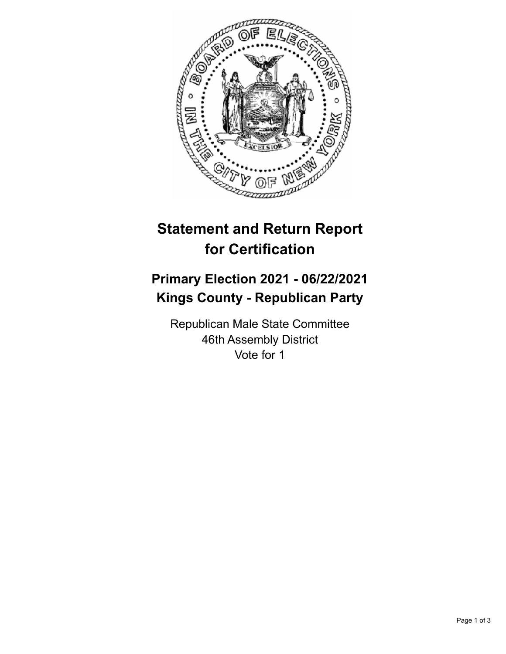

## **Statement and Return Report for Certification**

## **Primary Election 2021 - 06/22/2021 Kings County - Republican Party**

Republican Male State Committee 46th Assembly District Vote for 1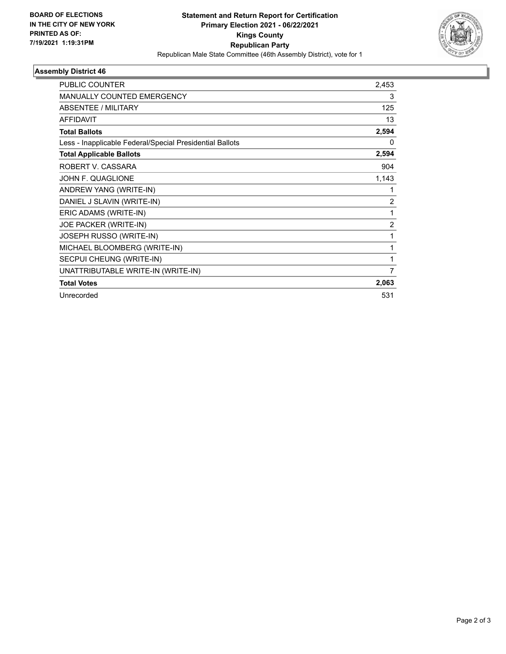

٠

## **Assembly District 46**

| PUBLIC COUNTER                                           | 2,453 |
|----------------------------------------------------------|-------|
| <b>MANUALLY COUNTED EMERGENCY</b>                        | 3     |
| ABSENTEE / MILITARY                                      | 125   |
| <b>AFFIDAVIT</b>                                         | 13    |
| <b>Total Ballots</b>                                     | 2,594 |
| Less - Inapplicable Federal/Special Presidential Ballots | 0     |
| <b>Total Applicable Ballots</b>                          | 2,594 |
| ROBERT V. CASSARA                                        | 904   |
| JOHN F. QUAGLIONE                                        | 1,143 |
| ANDREW YANG (WRITE-IN)                                   | 1     |
| DANIEL J SLAVIN (WRITE-IN)                               | 2     |
| ERIC ADAMS (WRITE-IN)                                    | 1     |
| JOE PACKER (WRITE-IN)                                    | 2     |
| JOSEPH RUSSO (WRITE-IN)                                  | 1     |
| MICHAEL BLOOMBERG (WRITE-IN)                             | 1     |
| SECPUI CHEUNG (WRITE-IN)                                 |       |
| UNATTRIBUTABLE WRITE-IN (WRITE-IN)                       | 7     |
| <b>Total Votes</b>                                       | 2,063 |
| Unrecorded                                               | 531   |